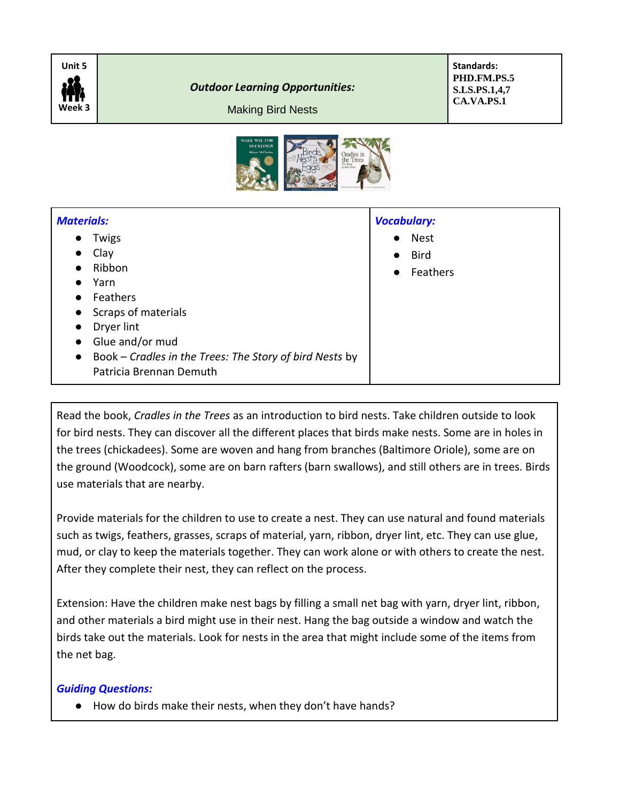

*Outdoor Learning Opportunities:*

**Standards: PHD.FM.PS.5 S.LS.PS.1,4,7 CA.VA.PS.1**

Making Bird Nests



| <b>Materials:</b>                                                    | <b>Vocabulary:</b>       |
|----------------------------------------------------------------------|--------------------------|
| Twigs<br>$\bullet$                                                   | <b>Nest</b><br>$\bullet$ |
| Clay<br>$\bullet$                                                    | <b>Bird</b><br>$\bullet$ |
| Ribbon<br>$\bullet$                                                  | Feathers<br>$\bullet$    |
| Yarn<br>$\bullet$                                                    |                          |
| Feathers<br>$\bullet$                                                |                          |
| Scraps of materials<br>$\bullet$                                     |                          |
| Dryer lint<br>$\bullet$                                              |                          |
| Glue and/or mud<br>$\bullet$                                         |                          |
| Book – Cradles in the Trees: The Story of bird Nests by<br>$\bullet$ |                          |
| Patricia Brennan Demuth                                              |                          |

Read the book, *Cradles in the Trees* as an introduction to bird nests. Take children outside to look for bird nests. They can discover all the different places that birds make nests. Some are in holes in the trees (chickadees). Some are woven and hang from branches (Baltimore Oriole), some are on the ground (Woodcock), some are on barn rafters (barn swallows), and still others are in trees. Birds use materials that are nearby.

Provide materials for the children to use to create a nest. They can use natural and found materials such as twigs, feathers, grasses, scraps of material, yarn, ribbon, dryer lint, etc. They can use glue, mud, or clay to keep the materials together. They can work alone or with others to create the nest. After they complete their nest, they can reflect on the process.

Extension: Have the children make nest bags by filling a small net bag with yarn, dryer lint, ribbon, and other materials a bird might use in their nest. Hang the bag outside a window and watch the birds take out the materials. Look for nests in the area that might include some of the items from the net bag.

## *Guiding Questions:*

● How do birds make their nests, when they don't have hands?